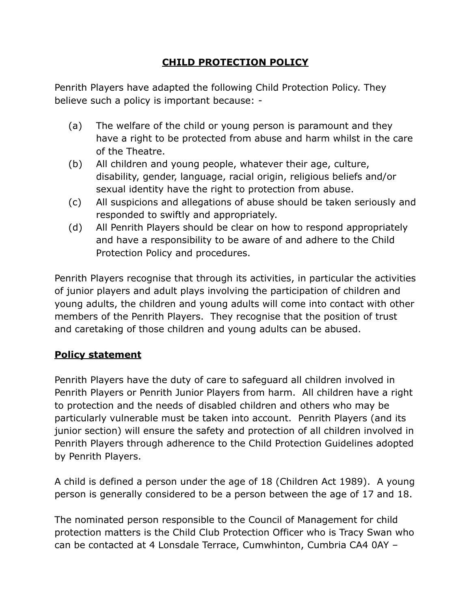## **CHILD PROTECTION POLICY**

Penrith Players have adapted the following Child Protection Policy. They believe such a policy is important because: -

- (a) The welfare of the child or young person is paramount and they have a right to be protected from abuse and harm whilst in the care of the Theatre.
- (b) All children and young people, whatever their age, culture, disability, gender, language, racial origin, religious beliefs and/or sexual identity have the right to protection from abuse.
- (c) All suspicions and allegations of abuse should be taken seriously and responded to swiftly and appropriately.
- (d) All Penrith Players should be clear on how to respond appropriately and have a responsibility to be aware of and adhere to the Child Protection Policy and procedures.

Penrith Players recognise that through its activities, in particular the activities of junior players and adult plays involving the participation of children and young adults, the children and young adults will come into contact with other members of the Penrith Players. They recognise that the position of trust and caretaking of those children and young adults can be abused.

## **Policy statement**

Penrith Players have the duty of care to safeguard all children involved in Penrith Players or Penrith Junior Players from harm. All children have a right to protection and the needs of disabled children and others who may be particularly vulnerable must be taken into account. Penrith Players (and its junior section) will ensure the safety and protection of all children involved in Penrith Players through adherence to the Child Protection Guidelines adopted by Penrith Players.

A child is defined a person under the age of 18 (Children Act 1989). A young person is generally considered to be a person between the age of 17 and 18.

The nominated person responsible to the Council of Management for child protection matters is the Child Club Protection Officer who is Tracy Swan who can be contacted at 4 Lonsdale Terrace, Cumwhinton, Cumbria CA4 0AY –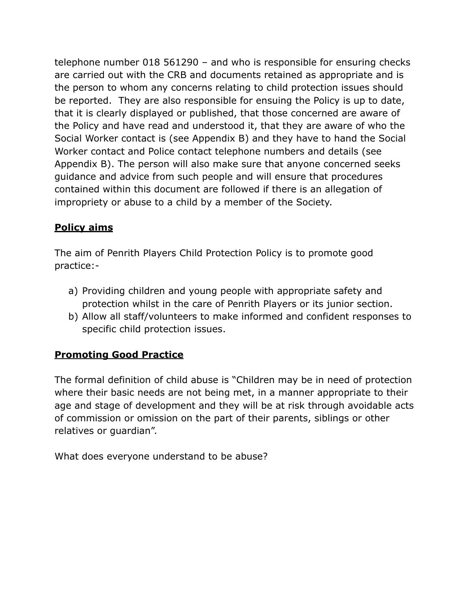telephone number 018 561290 – and who is responsible for ensuring checks are carried out with the CRB and documents retained as appropriate and is the person to whom any concerns relating to child protection issues should be reported. They are also responsible for ensuing the Policy is up to date, that it is clearly displayed or published, that those concerned are aware of the Policy and have read and understood it, that they are aware of who the Social Worker contact is (see Appendix B) and they have to hand the Social Worker contact and Police contact telephone numbers and details (see Appendix B). The person will also make sure that anyone concerned seeks guidance and advice from such people and will ensure that procedures contained within this document are followed if there is an allegation of impropriety or abuse to a child by a member of the Society.

## **Policy aims**

The aim of Penrith Players Child Protection Policy is to promote good practice:-

- a) Providing children and young people with appropriate safety and protection whilst in the care of Penrith Players or its junior section.
- b) Allow all staff/volunteers to make informed and confident responses to specific child protection issues.

### **Promoting Good Practice**

The formal definition of child abuse is "Children may be in need of protection where their basic needs are not being met, in a manner appropriate to their age and stage of development and they will be at risk through avoidable acts of commission or omission on the part of their parents, siblings or other relatives or guardian".

What does everyone understand to be abuse?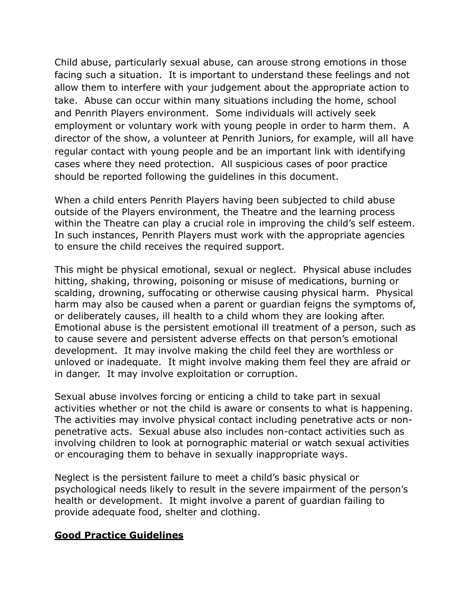Child abuse, particularly sexual abuse, can arouse strong emotions in those facing such a situation. It is important to understand these feelings and not allow them to interfere with your judgement about the appropriate action to take. Abuse can occur within many situations including the home, school and Penrith Players environment. Some individuals will actively seek employment or voluntary work with young people in order to harm them. A director of the show, a volunteer at Penrith Juniors, for example, will all have regular contact with young people and be an important link with identifying cases where they need protection. All suspicious cases of poor practice should be reported following the guidelines in this document.

When a child enters Penrith Players having been subjected to child abuse outside of the Players environment, the Theatre and the learning process within the Theatre can play a crucial role in improving the child's self esteem. In such instances, Penrith Players must work with the appropriate agencies to ensure the child receives the required support.

This might be physical emotional, sexual or neglect. Physical abuse includes hitting, shaking, throwing, poisoning or misuse of medications, burning or scalding, drowning, suffocating or otherwise causing physical harm. Physical harm may also be caused when a parent or guardian feigns the symptoms of, or deliberately causes, ill health to a child whom they are looking after. Emotional abuse is the persistent emotional ill treatment of a person, such as to cause severe and persistent adverse effects on that person's emotional development. It may involve making the child feel they are worthless or unloved or inadequate. It might involve making them feel they are afraid or in danger. It may involve exploitation or corruption.

Sexual abuse involves forcing or enticing a child to take part in sexual activities whether or not the child is aware or consents to what is happening. The activities may involve physical contact including penetrative acts or nonpenetrative acts. Sexual abuse also includes non-contact activities such as involving children to look at pornographic material or watch sexual activities or encouraging them to behave in sexually inappropriate ways.

Neglect is the persistent failure to meet a child's basic physical or psychological needs likely to result in the severe impairment of the person's health or development. It might involve a parent of guardian failing to provide adequate food, shelter and clothing.

#### **Good Practice Guidelines**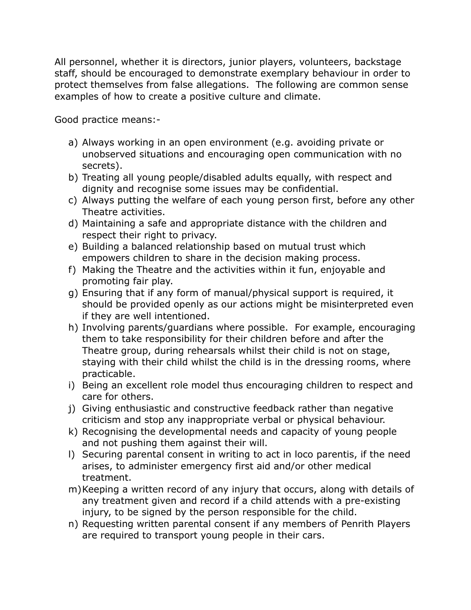All personnel, whether it is directors, junior players, volunteers, backstage staff, should be encouraged to demonstrate exemplary behaviour in order to protect themselves from false allegations. The following are common sense examples of how to create a positive culture and climate.

Good practice means:-

- a) Always working in an open environment (e.g. avoiding private or unobserved situations and encouraging open communication with no secrets).
- b) Treating all young people/disabled adults equally, with respect and dignity and recognise some issues may be confidential.
- c) Always putting the welfare of each young person first, before any other Theatre activities.
- d) Maintaining a safe and appropriate distance with the children and respect their right to privacy.
- e) Building a balanced relationship based on mutual trust which empowers children to share in the decision making process.
- f) Making the Theatre and the activities within it fun, enjoyable and promoting fair play.
- g) Ensuring that if any form of manual/physical support is required, it should be provided openly as our actions might be misinterpreted even if they are well intentioned.
- h) Involving parents/guardians where possible. For example, encouraging them to take responsibility for their children before and after the Theatre group, during rehearsals whilst their child is not on stage, staying with their child whilst the child is in the dressing rooms, where practicable.
- i) Being an excellent role model thus encouraging children to respect and care for others.
- j) Giving enthusiastic and constructive feedback rather than negative criticism and stop any inappropriate verbal or physical behaviour.
- k) Recognising the developmental needs and capacity of young people and not pushing them against their will.
- l) Securing parental consent in writing to act in loco parentis, if the need arises, to administer emergency first aid and/or other medical treatment.
- m)Keeping a written record of any injury that occurs, along with details of any treatment given and record if a child attends with a pre-existing injury, to be signed by the person responsible for the child.
- n) Requesting written parental consent if any members of Penrith Players are required to transport young people in their cars.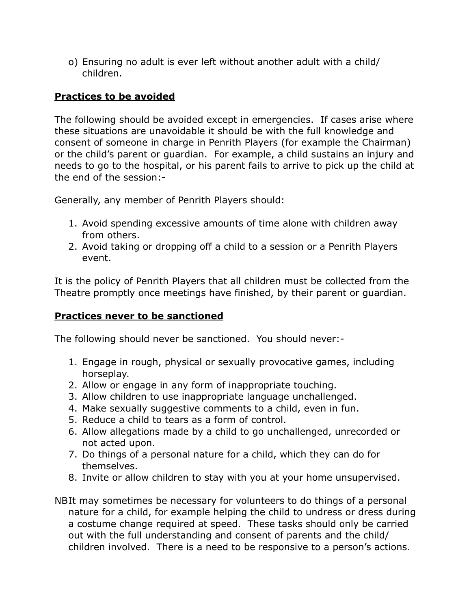o) Ensuring no adult is ever left without another adult with a child/ children.

### **Practices to be avoided**

The following should be avoided except in emergencies. If cases arise where these situations are unavoidable it should be with the full knowledge and consent of someone in charge in Penrith Players (for example the Chairman) or the child's parent or guardian. For example, a child sustains an injury and needs to go to the hospital, or his parent fails to arrive to pick up the child at the end of the session:-

Generally, any member of Penrith Players should:

- 1. Avoid spending excessive amounts of time alone with children away from others.
- 2. Avoid taking or dropping off a child to a session or a Penrith Players event.

It is the policy of Penrith Players that all children must be collected from the Theatre promptly once meetings have finished, by their parent or guardian.

### **Practices never to be sanctioned**

The following should never be sanctioned. You should never:-

- 1. Engage in rough, physical or sexually provocative games, including horseplay.
- 2. Allow or engage in any form of inappropriate touching.
- 3. Allow children to use inappropriate language unchallenged.
- 4. Make sexually suggestive comments to a child, even in fun.
- 5. Reduce a child to tears as a form of control.
- 6. Allow allegations made by a child to go unchallenged, unrecorded or not acted upon.
- 7. Do things of a personal nature for a child, which they can do for themselves.
- 8. Invite or allow children to stay with you at your home unsupervised.
- NB It may sometimes be necessary for volunteers to do things of a personal nature for a child, for example helping the child to undress or dress during a costume change required at speed. These tasks should only be carried out with the full understanding and consent of parents and the child/ children involved. There is a need to be responsive to a person's actions.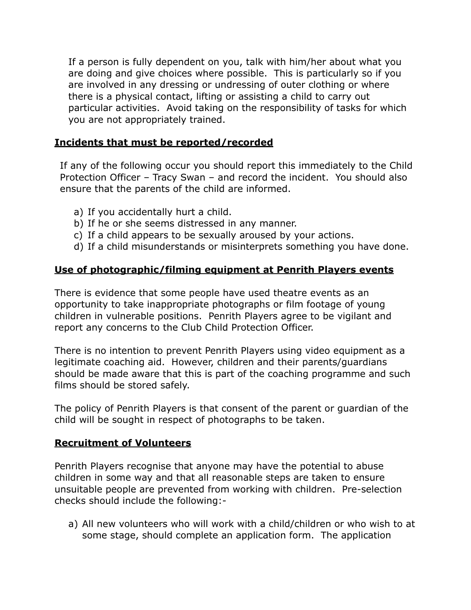If a person is fully dependent on you, talk with him/her about what you are doing and give choices where possible. This is particularly so if you are involved in any dressing or undressing of outer clothing or where there is a physical contact, lifting or assisting a child to carry out particular activities. Avoid taking on the responsibility of tasks for which you are not appropriately trained.

#### **Incidents that must be reported/recorded**

If any of the following occur you should report this immediately to the Child Protection Officer – Tracy Swan – and record the incident. You should also ensure that the parents of the child are informed.

- a) If you accidentally hurt a child.
- b) If he or she seems distressed in any manner.
- c) If a child appears to be sexually aroused by your actions.
- d) If a child misunderstands or misinterprets something you have done.

#### **Use of photographic/filming equipment at Penrith Players events**

There is evidence that some people have used theatre events as an opportunity to take inappropriate photographs or film footage of young children in vulnerable positions. Penrith Players agree to be vigilant and report any concerns to the Club Child Protection Officer.

There is no intention to prevent Penrith Players using video equipment as a legitimate coaching aid. However, children and their parents/guardians should be made aware that this is part of the coaching programme and such films should be stored safely.

The policy of Penrith Players is that consent of the parent or guardian of the child will be sought in respect of photographs to be taken.

#### **Recruitment of Volunteers**

Penrith Players recognise that anyone may have the potential to abuse children in some way and that all reasonable steps are taken to ensure unsuitable people are prevented from working with children. Pre-selection checks should include the following:-

a) All new volunteers who will work with a child/children or who wish to at some stage, should complete an application form. The application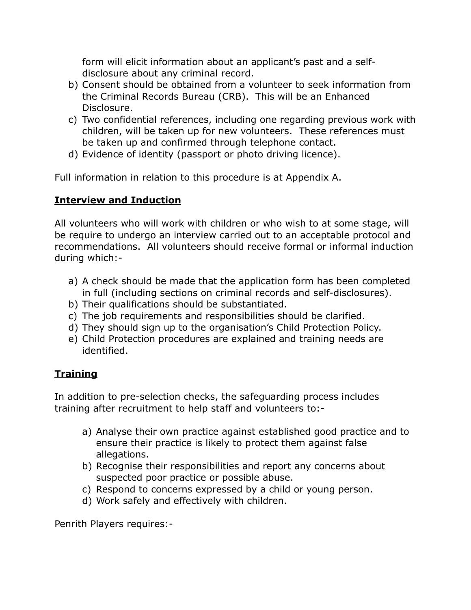form will elicit information about an applicant's past and a selfdisclosure about any criminal record.

- b) Consent should be obtained from a volunteer to seek information from the Criminal Records Bureau (CRB). This will be an Enhanced Disclosure.
- c) Two confidential references, including one regarding previous work with children, will be taken up for new volunteers. These references must be taken up and confirmed through telephone contact.
- d) Evidence of identity (passport or photo driving licence).

Full information in relation to this procedure is at Appendix A.

## **Interview and Induction**

All volunteers who will work with children or who wish to at some stage, will be require to undergo an interview carried out to an acceptable protocol and recommendations. All volunteers should receive formal or informal induction during which:-

- a) A check should be made that the application form has been completed in full (including sections on criminal records and self-disclosures).
- b) Their qualifications should be substantiated.
- c) The job requirements and responsibilities should be clarified.
- d) They should sign up to the organisation's Child Protection Policy.
- e) Child Protection procedures are explained and training needs are identified.

# **Training**

In addition to pre-selection checks, the safeguarding process includes training after recruitment to help staff and volunteers to:-

- a) Analyse their own practice against established good practice and to ensure their practice is likely to protect them against false allegations.
- b) Recognise their responsibilities and report any concerns about suspected poor practice or possible abuse.
- c) Respond to concerns expressed by a child or young person.
- d) Work safely and effectively with children.

Penrith Players requires:-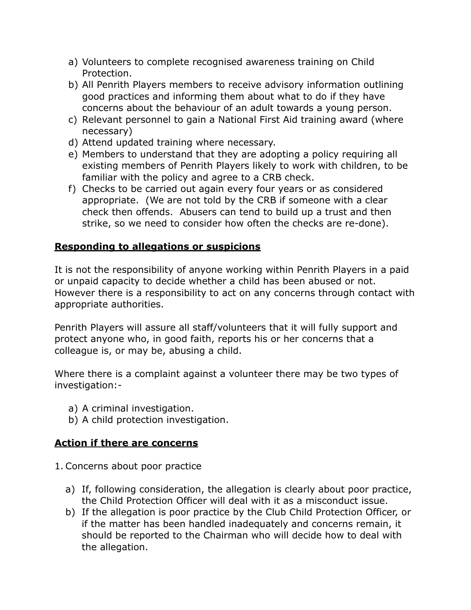- a) Volunteers to complete recognised awareness training on Child Protection.
- b) All Penrith Players members to receive advisory information outlining good practices and informing them about what to do if they have concerns about the behaviour of an adult towards a young person.
- c) Relevant personnel to gain a National First Aid training award (where necessary)
- d) Attend updated training where necessary.
- e) Members to understand that they are adopting a policy requiring all existing members of Penrith Players likely to work with children, to be familiar with the policy and agree to a CRB check.
- f) Checks to be carried out again every four years or as considered appropriate. (We are not told by the CRB if someone with a clear check then offends. Abusers can tend to build up a trust and then strike, so we need to consider how often the checks are re-done).

## **Responding to allegations or suspicions**

It is not the responsibility of anyone working within Penrith Players in a paid or unpaid capacity to decide whether a child has been abused or not. However there is a responsibility to act on any concerns through contact with appropriate authorities.

Penrith Players will assure all staff/volunteers that it will fully support and protect anyone who, in good faith, reports his or her concerns that a colleague is, or may be, abusing a child.

Where there is a complaint against a volunteer there may be two types of investigation:-

- a) A criminal investigation.
- b) A child protection investigation.

## **Action if there are concerns**

- 1. Concerns about poor practice
	- a) If, following consideration, the allegation is clearly about poor practice, the Child Protection Officer will deal with it as a misconduct issue.
	- b) If the allegation is poor practice by the Club Child Protection Officer, or if the matter has been handled inadequately and concerns remain, it should be reported to the Chairman who will decide how to deal with the allegation.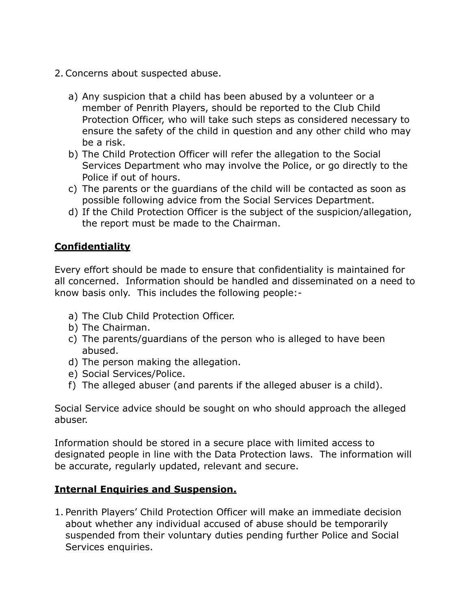- 2. Concerns about suspected abuse.
	- a) Any suspicion that a child has been abused by a volunteer or a member of Penrith Players, should be reported to the Club Child Protection Officer, who will take such steps as considered necessary to ensure the safety of the child in question and any other child who may be a risk.
	- b) The Child Protection Officer will refer the allegation to the Social Services Department who may involve the Police, or go directly to the Police if out of hours.
	- c) The parents or the guardians of the child will be contacted as soon as possible following advice from the Social Services Department.
	- d) If the Child Protection Officer is the subject of the suspicion/allegation, the report must be made to the Chairman.

## **Confidentiality**

Every effort should be made to ensure that confidentiality is maintained for all concerned. Information should be handled and disseminated on a need to know basis only. This includes the following people:-

- a) The Club Child Protection Officer.
- b) The Chairman.
- c) The parents/guardians of the person who is alleged to have been abused.
- d) The person making the allegation.
- e) Social Services/Police.
- f) The alleged abuser (and parents if the alleged abuser is a child).

Social Service advice should be sought on who should approach the alleged abuser.

Information should be stored in a secure place with limited access to designated people in line with the Data Protection laws. The information will be accurate, regularly updated, relevant and secure.

### **Internal Enquiries and Suspension.**

1. Penrith Players' Child Protection Officer will make an immediate decision about whether any individual accused of abuse should be temporarily suspended from their voluntary duties pending further Police and Social Services enquiries.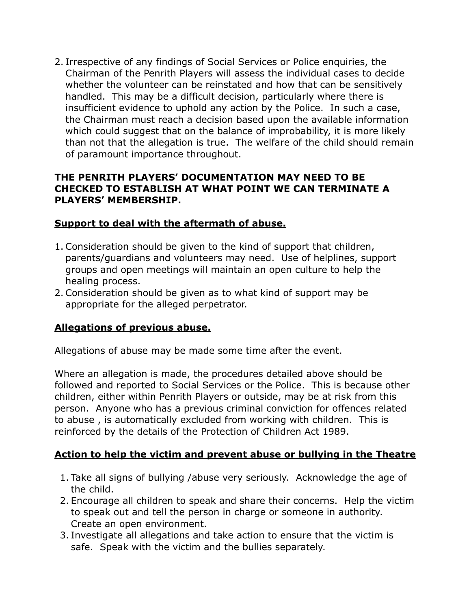2. Irrespective of any findings of Social Services or Police enquiries, the Chairman of the Penrith Players will assess the individual cases to decide whether the volunteer can be reinstated and how that can be sensitively handled. This may be a difficult decision, particularly where there is insufficient evidence to uphold any action by the Police. In such a case, the Chairman must reach a decision based upon the available information which could suggest that on the balance of improbability, it is more likely than not that the allegation is true. The welfare of the child should remain of paramount importance throughout.

#### **THE PENRITH PLAYERS' DOCUMENTATION MAY NEED TO BE CHECKED TO ESTABLISH AT WHAT POINT WE CAN TERMINATE A PLAYERS' MEMBERSHIP.**

#### **Support to deal with the aftermath of abuse.**

- 1. Consideration should be given to the kind of support that children, parents/guardians and volunteers may need. Use of helplines, support groups and open meetings will maintain an open culture to help the healing process.
- 2. Consideration should be given as to what kind of support may be appropriate for the alleged perpetrator.

### **Allegations of previous abuse.**

Allegations of abuse may be made some time after the event.

Where an allegation is made, the procedures detailed above should be followed and reported to Social Services or the Police. This is because other children, either within Penrith Players or outside, may be at risk from this person. Anyone who has a previous criminal conviction for offences related to abuse , is automatically excluded from working with children. This is reinforced by the details of the Protection of Children Act 1989.

### **Action to help the victim and prevent abuse or bullying in the Theatre**

- 1. Take all signs of bullying /abuse very seriously. Acknowledge the age of the child.
- 2. Encourage all children to speak and share their concerns. Help the victim to speak out and tell the person in charge or someone in authority. Create an open environment.
- 3. Investigate all allegations and take action to ensure that the victim is safe. Speak with the victim and the bullies separately.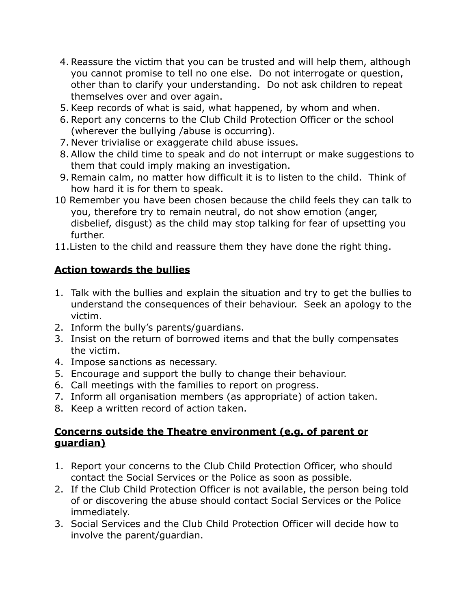- 4. Reassure the victim that you can be trusted and will help them, although you cannot promise to tell no one else. Do not interrogate or question, other than to clarify your understanding. Do not ask children to repeat themselves over and over again.
- 5. Keep records of what is said, what happened, by whom and when.
- 6. Report any concerns to the Club Child Protection Officer or the school (wherever the bullying /abuse is occurring).
- 7. Never trivialise or exaggerate child abuse issues.
- 8. Allow the child time to speak and do not interrupt or make suggestions to them that could imply making an investigation.
- 9. Remain calm, no matter how difficult it is to listen to the child. Think of how hard it is for them to speak.
- 10 Remember you have been chosen because the child feels they can talk to you, therefore try to remain neutral, do not show emotion (anger, disbelief, disgust) as the child may stop talking for fear of upsetting you further.
- 11.Listen to the child and reassure them they have done the right thing.

## **Action towards the bullies**

- 1. Talk with the bullies and explain the situation and try to get the bullies to understand the consequences of their behaviour. Seek an apology to the victim.
- 2. Inform the bully's parents/guardians.
- 3. Insist on the return of borrowed items and that the bully compensates the victim.
- 4. Impose sanctions as necessary.
- 5. Encourage and support the bully to change their behaviour.
- 6. Call meetings with the families to report on progress.
- 7. Inform all organisation members (as appropriate) of action taken.
- 8. Keep a written record of action taken.

### **Concerns outside the Theatre environment (e.g. of parent or guardian)**

- 1. Report your concerns to the Club Child Protection Officer, who should contact the Social Services or the Police as soon as possible.
- 2. If the Club Child Protection Officer is not available, the person being told of or discovering the abuse should contact Social Services or the Police immediately.
- 3. Social Services and the Club Child Protection Officer will decide how to involve the parent/guardian.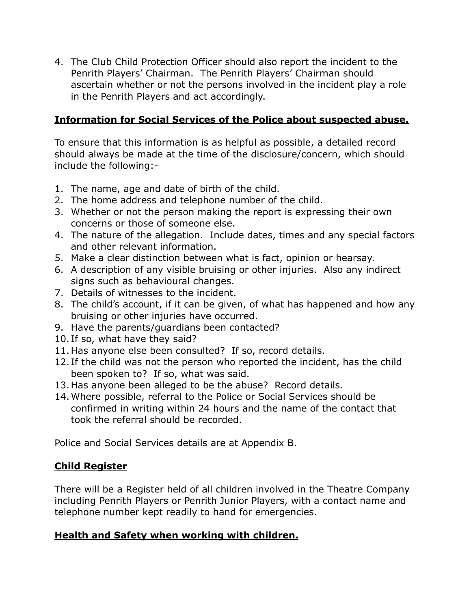4. The Club Child Protection Officer should also report the incident to the Penrith Players' Chairman. The Penrith Players' Chairman should ascertain whether or not the persons involved in the incident play a role in the Penrith Players and act accordingly.

### **Information for Social Services of the Police about suspected abuse.**

To ensure that this information is as helpful as possible, a detailed record should always be made at the time of the disclosure/concern, which should include the following:-

- 1. The name, age and date of birth of the child.
- 2. The home address and telephone number of the child.
- 3. Whether or not the person making the report is expressing their own concerns or those of someone else.
- 4. The nature of the allegation. Include dates, times and any special factors and other relevant information.
- 5. Make a clear distinction between what is fact, opinion or hearsay.
- 6. A description of any visible bruising or other injuries. Also any indirect signs such as behavioural changes.
- 7. Details of witnesses to the incident.
- 8. The child's account, if it can be given, of what has happened and how any bruising or other injuries have occurred.
- 9. Have the parents/guardians been contacted?
- 10. If so, what have they said?
- 11.Has anyone else been consulted? If so, record details.
- 12. If the child was not the person who reported the incident, has the child been spoken to? If so, what was said.
- 13.Has anyone been alleged to be the abuse? Record details.
- 14.Where possible, referral to the Police or Social Services should be confirmed in writing within 24 hours and the name of the contact that took the referral should be recorded.

Police and Social Services details are at Appendix B.

### **Child Register**

There will be a Register held of all children involved in the Theatre Company including Penrith Players or Penrith Junior Players, with a contact name and telephone number kept readily to hand for emergencies.

### **Health and Safety when working with children.**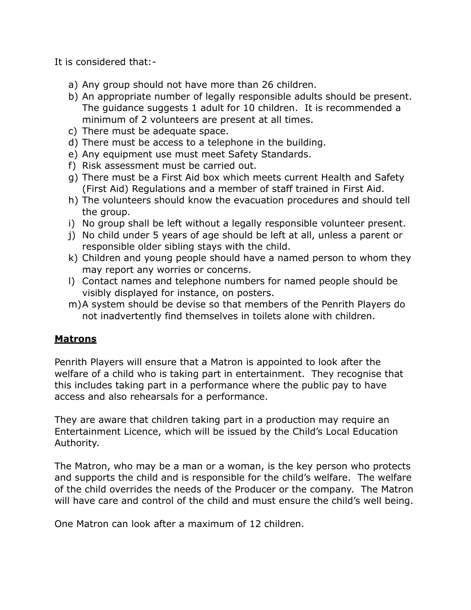It is considered that:-

- a) Any group should not have more than 26 children.
- b) An appropriate number of legally responsible adults should be present. The guidance suggests 1 adult for 10 children. It is recommended a minimum of 2 volunteers are present at all times.
- c) There must be adequate space.
- d) There must be access to a telephone in the building.
- e) Any equipment use must meet Safety Standards.
- f) Risk assessment must be carried out.
- g) There must be a First Aid box which meets current Health and Safety (First Aid) Regulations and a member of staff trained in First Aid.
- h) The volunteers should know the evacuation procedures and should tell the group.
- i) No group shall be left without a legally responsible volunteer present.
- j) No child under 5 years of age should be left at all, unless a parent or responsible older sibling stays with the child.
- k) Children and young people should have a named person to whom they may report any worries or concerns.
- l) Contact names and telephone numbers for named people should be visibly displayed for instance, on posters.
- m)A system should be devise so that members of the Penrith Players do not inadvertently find themselves in toilets alone with children.

### **Matrons**

Penrith Players will ensure that a Matron is appointed to look after the welfare of a child who is taking part in entertainment. They recognise that this includes taking part in a performance where the public pay to have access and also rehearsals for a performance.

They are aware that children taking part in a production may require an Entertainment Licence, which will be issued by the Child's Local Education Authority.

The Matron, who may be a man or a woman, is the key person who protects and supports the child and is responsible for the child's welfare. The welfare of the child overrides the needs of the Producer or the company. The Matron will have care and control of the child and must ensure the child's well being.

One Matron can look after a maximum of 12 children.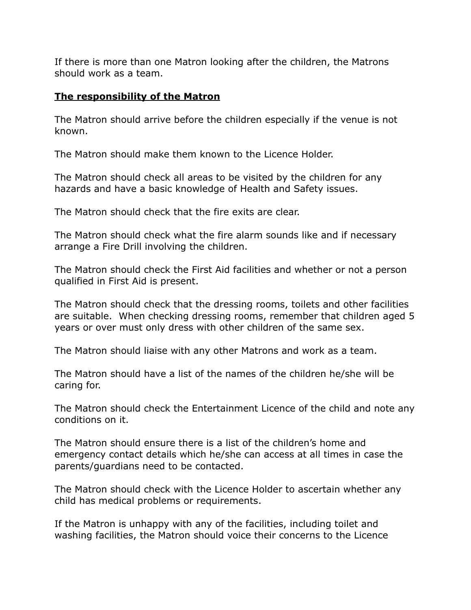If there is more than one Matron looking after the children, the Matrons should work as a team.

#### **The responsibility of the Matron**

The Matron should arrive before the children especially if the venue is not known.

The Matron should make them known to the Licence Holder.

The Matron should check all areas to be visited by the children for any hazards and have a basic knowledge of Health and Safety issues.

The Matron should check that the fire exits are clear.

The Matron should check what the fire alarm sounds like and if necessary arrange a Fire Drill involving the children.

The Matron should check the First Aid facilities and whether or not a person qualified in First Aid is present.

The Matron should check that the dressing rooms, toilets and other facilities are suitable. When checking dressing rooms, remember that children aged 5 years or over must only dress with other children of the same sex.

The Matron should liaise with any other Matrons and work as a team.

The Matron should have a list of the names of the children he/she will be caring for.

The Matron should check the Entertainment Licence of the child and note any conditions on it.

The Matron should ensure there is a list of the children's home and emergency contact details which he/she can access at all times in case the parents/guardians need to be contacted.

The Matron should check with the Licence Holder to ascertain whether any child has medical problems or requirements.

If the Matron is unhappy with any of the facilities, including toilet and washing facilities, the Matron should voice their concerns to the Licence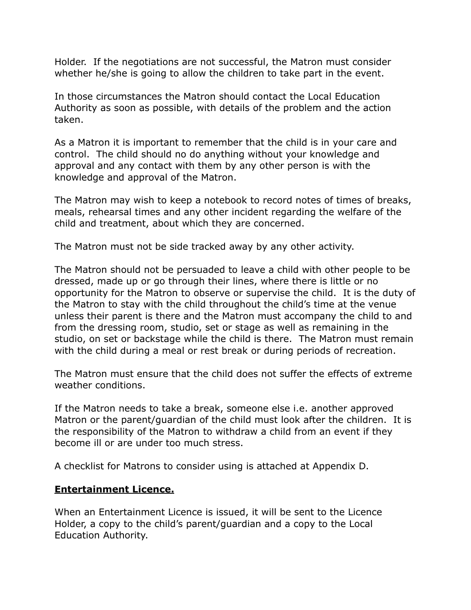Holder. If the negotiations are not successful, the Matron must consider whether he/she is going to allow the children to take part in the event.

In those circumstances the Matron should contact the Local Education Authority as soon as possible, with details of the problem and the action taken.

As a Matron it is important to remember that the child is in your care and control. The child should no do anything without your knowledge and approval and any contact with them by any other person is with the knowledge and approval of the Matron.

The Matron may wish to keep a notebook to record notes of times of breaks, meals, rehearsal times and any other incident regarding the welfare of the child and treatment, about which they are concerned.

The Matron must not be side tracked away by any other activity.

The Matron should not be persuaded to leave a child with other people to be dressed, made up or go through their lines, where there is little or no opportunity for the Matron to observe or supervise the child. It is the duty of the Matron to stay with the child throughout the child's time at the venue unless their parent is there and the Matron must accompany the child to and from the dressing room, studio, set or stage as well as remaining in the studio, on set or backstage while the child is there. The Matron must remain with the child during a meal or rest break or during periods of recreation.

The Matron must ensure that the child does not suffer the effects of extreme weather conditions.

If the Matron needs to take a break, someone else i.e. another approved Matron or the parent/guardian of the child must look after the children. It is the responsibility of the Matron to withdraw a child from an event if they become ill or are under too much stress.

A checklist for Matrons to consider using is attached at Appendix D.

#### **Entertainment Licence.**

When an Entertainment Licence is issued, it will be sent to the Licence Holder, a copy to the child's parent/guardian and a copy to the Local Education Authority.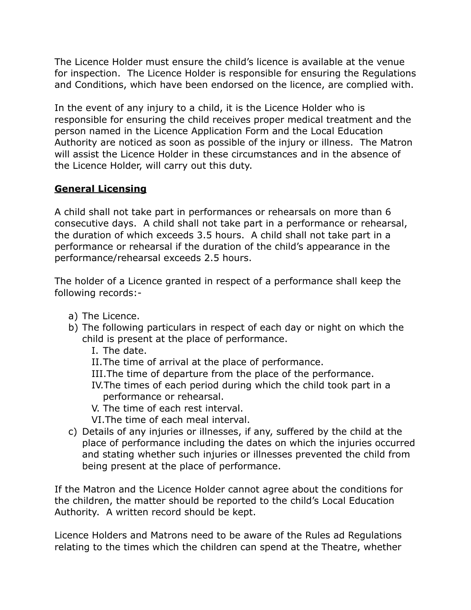The Licence Holder must ensure the child's licence is available at the venue for inspection. The Licence Holder is responsible for ensuring the Regulations and Conditions, which have been endorsed on the licence, are complied with.

In the event of any injury to a child, it is the Licence Holder who is responsible for ensuring the child receives proper medical treatment and the person named in the Licence Application Form and the Local Education Authority are noticed as soon as possible of the injury or illness. The Matron will assist the Licence Holder in these circumstances and in the absence of the Licence Holder, will carry out this duty.

### **General Licensing**

A child shall not take part in performances or rehearsals on more than 6 consecutive days. A child shall not take part in a performance or rehearsal, the duration of which exceeds 3.5 hours. A child shall not take part in a performance or rehearsal if the duration of the child's appearance in the performance/rehearsal exceeds 2.5 hours.

The holder of a Licence granted in respect of a performance shall keep the following records:-

- a) The Licence.
- b) The following particulars in respect of each day or night on which the child is present at the place of performance.
	- I. The date.
	- II.The time of arrival at the place of performance.
	- III.The time of departure from the place of the performance.
	- IV.The times of each period during which the child took part in a performance or rehearsal.
	- V. The time of each rest interval.
	- VI.The time of each meal interval.
- c) Details of any injuries or illnesses, if any, suffered by the child at the place of performance including the dates on which the injuries occurred and stating whether such injuries or illnesses prevented the child from being present at the place of performance.

If the Matron and the Licence Holder cannot agree about the conditions for the children, the matter should be reported to the child's Local Education Authority. A written record should be kept.

Licence Holders and Matrons need to be aware of the Rules ad Regulations relating to the times which the children can spend at the Theatre, whether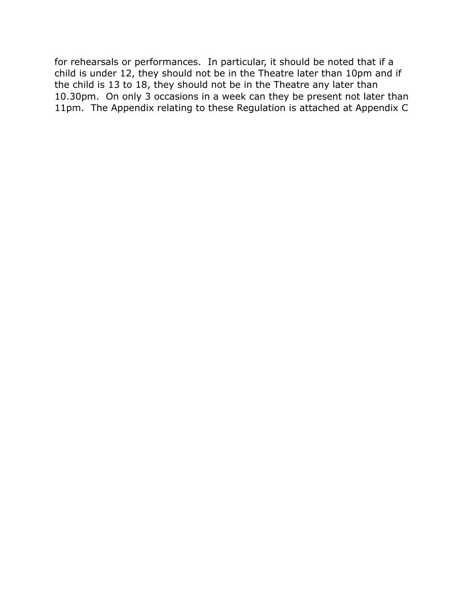for rehearsals or performances. In particular, it should be noted that if a child is under 12, they should not be in the Theatre later than 10pm and if the child is 13 to 18, they should not be in the Theatre any later than 10.30pm. On only 3 occasions in a week can they be present not later than 11pm. The Appendix relating to these Regulation is attached at Appendix C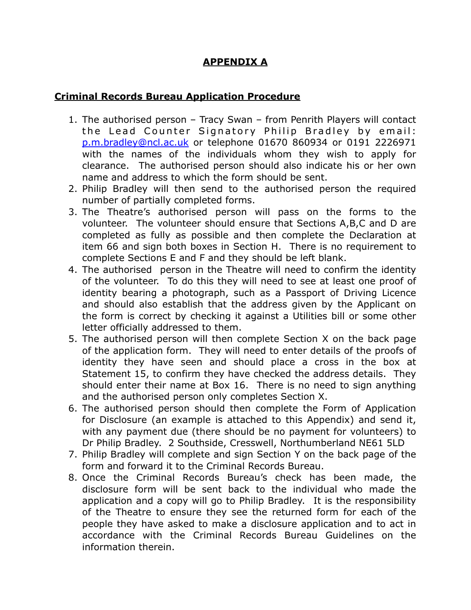## **APPENDIX A**

#### **Criminal Records Bureau Application Procedure**

- 1. The authorised person Tracy Swan from Penrith Players will contact the Lead Counter Signatory Philip Bradley by email: p.m.bradley@ncl.ac.uk or telephone 01670 860934 or 0191 2226971 with the names of the individuals whom they wish to apply for clearance. The authorised person should also indicate his or her own name and address to which the form should be sent.
- 2. Philip Bradley will then send to the authorised person the required number of partially completed forms.
- 3. The Theatre's authorised person will pass on the forms to the volunteer. The volunteer should ensure that Sections A,B,C and D are completed as fully as possible and then complete the Declaration at item 66 and sign both boxes in Section H. There is no requirement to complete Sections E and F and they should be left blank.
- 4. The authorised person in the Theatre will need to confirm the identity of the volunteer. To do this they will need to see at least one proof of identity bearing a photograph, such as a Passport of Driving Licence and should also establish that the address given by the Applicant on the form is correct by checking it against a Utilities bill or some other letter officially addressed to them.
- 5. The authorised person will then complete Section X on the back page of the application form. They will need to enter details of the proofs of identity they have seen and should place a cross in the box at Statement 15, to confirm they have checked the address details. They should enter their name at Box 16. There is no need to sign anything and the authorised person only completes Section X.
- 6. The authorised person should then complete the Form of Application for Disclosure (an example is attached to this Appendix) and send it, with any payment due (there should be no payment for volunteers) to Dr Philip Bradley. 2 Southside, Cresswell, Northumberland NE61 5LD
- 7. Philip Bradley will complete and sign Section Y on the back page of the form and forward it to the Criminal Records Bureau.
- 8. Once the Criminal Records Bureau's check has been made, the disclosure form will be sent back to the individual who made the application and a copy will go to Philip Bradley. It is the responsibility of the Theatre to ensure they see the returned form for each of the people they have asked to make a disclosure application and to act in accordance with the Criminal Records Bureau Guidelines on the information therein.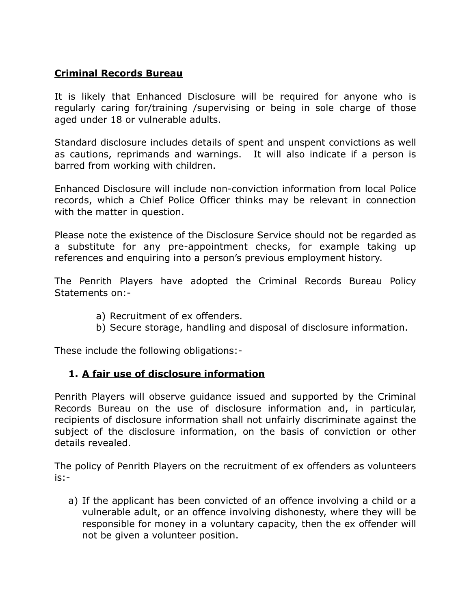### **Criminal Records Bureau**

It is likely that Enhanced Disclosure will be required for anyone who is regularly caring for/training /supervising or being in sole charge of those aged under 18 or vulnerable adults.

Standard disclosure includes details of spent and unspent convictions as well as cautions, reprimands and warnings. It will also indicate if a person is barred from working with children.

Enhanced Disclosure will include non-conviction information from local Police records, which a Chief Police Officer thinks may be relevant in connection with the matter in question.

Please note the existence of the Disclosure Service should not be regarded as a substitute for any pre-appointment checks, for example taking up references and enquiring into a person's previous employment history.

The Penrith Players have adopted the Criminal Records Bureau Policy Statements on:-

- a) Recruitment of ex offenders.
- b) Secure storage, handling and disposal of disclosure information.

These include the following obligations:-

### **1. A fair use of disclosure information**

Penrith Players will observe guidance issued and supported by the Criminal Records Bureau on the use of disclosure information and, in particular, recipients of disclosure information shall not unfairly discriminate against the subject of the disclosure information, on the basis of conviction or other details revealed.

The policy of Penrith Players on the recruitment of ex offenders as volunteers is:-

a) If the applicant has been convicted of an offence involving a child or a vulnerable adult, or an offence involving dishonesty, where they will be responsible for money in a voluntary capacity, then the ex offender will not be given a volunteer position.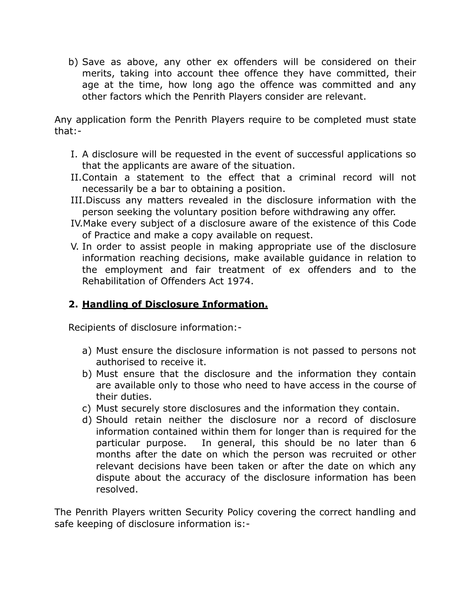b) Save as above, any other ex offenders will be considered on their merits, taking into account thee offence they have committed, their age at the time, how long ago the offence was committed and any other factors which the Penrith Players consider are relevant.

Any application form the Penrith Players require to be completed must state that:-

- I. A disclosure will be requested in the event of successful applications so that the applicants are aware of the situation.
- II.Contain a statement to the effect that a criminal record will not necessarily be a bar to obtaining a position.
- III.Discuss any matters revealed in the disclosure information with the person seeking the voluntary position before withdrawing any offer.
- IV.Make every subject of a disclosure aware of the existence of this Code of Practice and make a copy available on request.
- V. In order to assist people in making appropriate use of the disclosure information reaching decisions, make available guidance in relation to the employment and fair treatment of ex offenders and to the Rehabilitation of Offenders Act 1974.

## **2. Handling of Disclosure Information.**

Recipients of disclosure information:-

- a) Must ensure the disclosure information is not passed to persons not authorised to receive it.
- b) Must ensure that the disclosure and the information they contain are available only to those who need to have access in the course of their duties.
- c) Must securely store disclosures and the information they contain.
- d) Should retain neither the disclosure nor a record of disclosure information contained within them for longer than is required for the particular purpose. In general, this should be no later than 6 months after the date on which the person was recruited or other relevant decisions have been taken or after the date on which any dispute about the accuracy of the disclosure information has been resolved.

The Penrith Players written Security Policy covering the correct handling and safe keeping of disclosure information is:-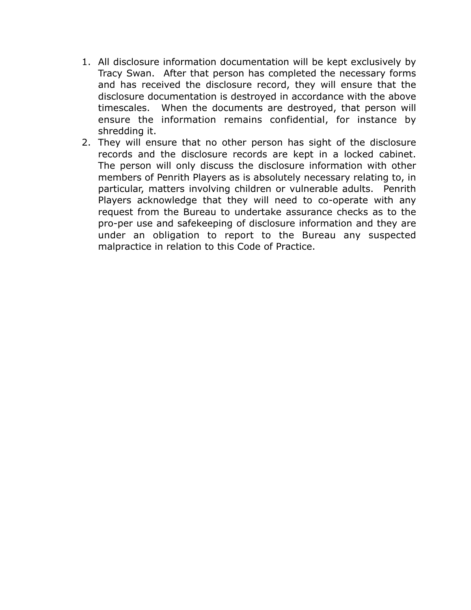- 1. All disclosure information documentation will be kept exclusively by Tracy Swan. After that person has completed the necessary forms and has received the disclosure record, they will ensure that the disclosure documentation is destroyed in accordance with the above timescales. When the documents are destroyed, that person will ensure the information remains confidential, for instance by shredding it.
- 2. They will ensure that no other person has sight of the disclosure records and the disclosure records are kept in a locked cabinet. The person will only discuss the disclosure information with other members of Penrith Players as is absolutely necessary relating to, in particular, matters involving children or vulnerable adults. Penrith Players acknowledge that they will need to co-operate with any request from the Bureau to undertake assurance checks as to the pro-per use and safekeeping of disclosure information and they are under an obligation to report to the Bureau any suspected malpractice in relation to this Code of Practice.